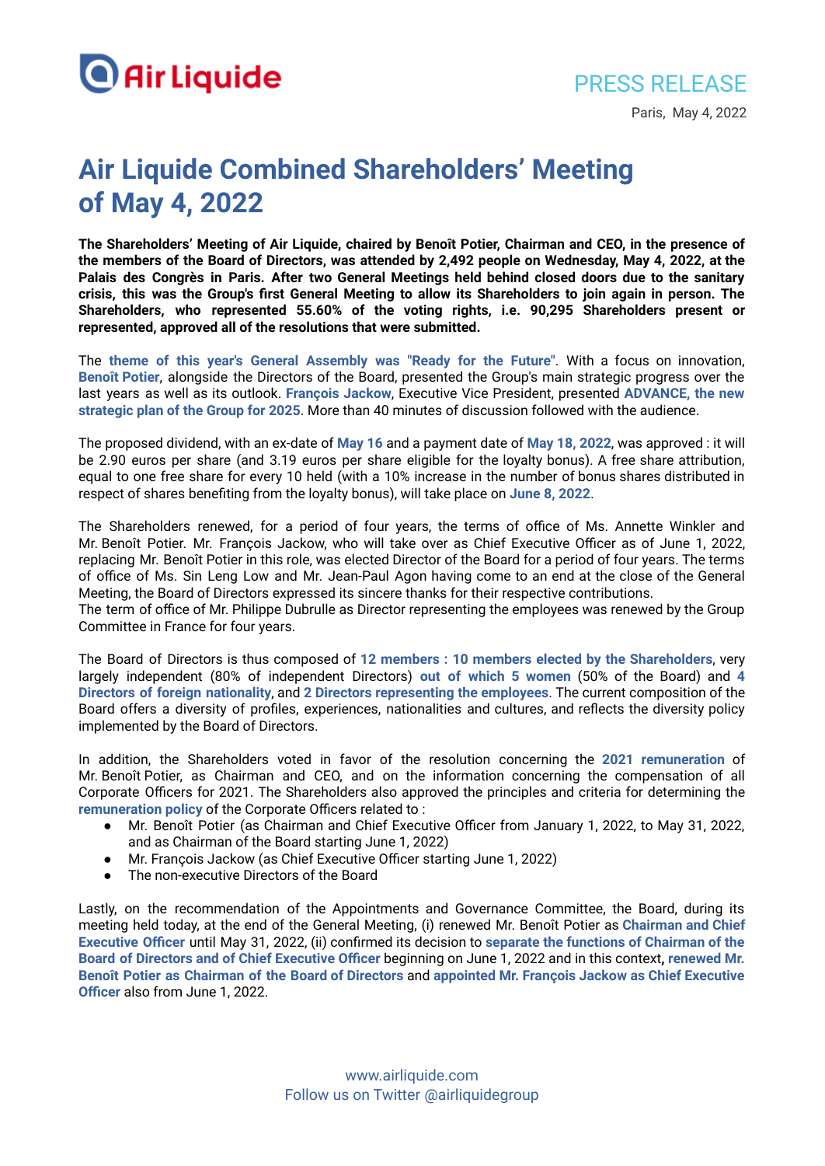

PRESS RELEASE

Paris, May 4, 2022

## **Air Liquide Combined Shareholders' Meeting of May 4, 2022**

**The Shareholders' Meeting of Air Liquide, chaired by Benoît Potier, Chairman and CEO, in the presence of** the members of the Board of Directors, was attended by 2,492 people on Wednesday, May 4, 2022, at the **Palais des Congrès in Paris. After two General Meetings held behind closed doors due to the sanitary** crisis, this was the Group's first General Meeting to allow its Shareholders to join again in person. The **Shareholders, who represented 55.60% of the voting rights, i.e. 90,295 Shareholders present or represented, approved all of the resolutions that were submitted.**

The **theme of this year's General Assembly was "Ready for the Future"**. With a focus on innovation, **Benoît Potier**, alongside the Directors of the Board, presented the Group's main strategic progress over the last years as well as its outlook. **François Jackow**, Executive Vice President, presented **ADVANCE, the new strategic plan of the Group for 2025**. More than 40 minutes of discussion followed with the audience.

The proposed dividend, with an ex-date of **May 16** and a payment date of **May 18, 2022**, was approved : it will be 2.90 euros per share (and 3.19 euros per share eligible for the loyalty bonus). A free share attribution, equal to one free share for every 10 held (with a 10% increase in the number of bonus shares distributed in respect of shares benefiting from the loyalty bonus), will take place on **June 8, 2022**.

The Shareholders renewed, for a period of four years, the terms of office of Ms. Annette Winkler and Mr. Benoît Potier. Mr. François Jackow, who will take over as Chief Executive Officer as of June 1, 2022, replacing Mr. Benoît Potier in this role, was elected Director of the Board for a period of four years. The terms of office of Ms. Sin Leng Low and Mr. Jean-Paul Agon having come to an end at the close of the General Meeting, the Board of Directors expressed its sincere thanks for their respective contributions.

The term of office of Mr. Philippe Dubrulle as Director representing the employees was renewed by the Group Committee in France for four years.

The Board of Directors is thus composed of **12 members : 10 members elected by the Shareholders**, very largely independent (80% of independent Directors) **out of which 5 women** (50% of the Board) and **4 Directors of foreign nationality**, and **2 Directors representing the employees**. The current composition of the Board offers a diversity of profiles, experiences, nationalities and cultures, and reflects the diversity policy implemented by the Board of Directors.

In addition, the Shareholders voted in favor of the resolution concerning the **2021 remuneration** of Mr. Benoît Potier, as Chairman and CEO, and on the information concerning the compensation of all Corporate Officers for 2021. The Shareholders also approved the principles and criteria for determining the **remuneration policy** of the Corporate Officers related to :

- Mr. Benoît Potier (as Chairman and Chief Executive Officer from January 1, 2022, to May 31, 2022, and as Chairman of the Board starting June 1, 2022)
- Mr. François Jackow (as Chief Executive Officer starting June 1, 2022)
- The non-executive Directors of the Board

Lastly, on the recommendation of the Appointments and Governance Committee, the Board, during its meeting held today, at the end of the General Meeting, (i) renewed Mr. Benoît Potier as **Chairman and Chief Executive Officer** until May 31, 2022, (ii) confirmed its decision to **separate the functions of Chairman of the Board of Directors and of Chief Executive Officer** beginning on June 1, 2022 and in this context**, renewed Mr. Benoît Potier as Chairman of the Board of Directors** and **appointed Mr. François Jackow as Chief Executive Officer** also from June 1, 2022.